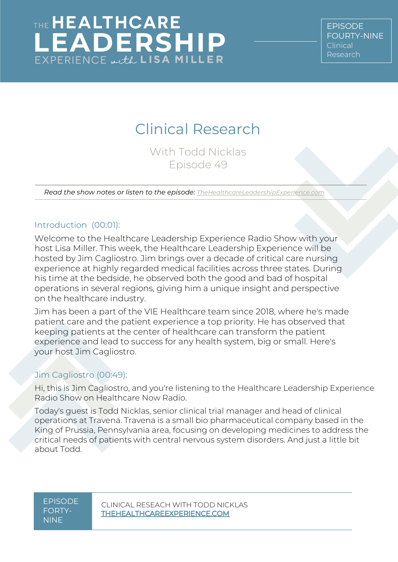## Clinical Research

With Todd Nicklas Episode 49

*Read the show notes or listen to the episode: [TheHealthcareLeadershipExperience.com](http://thehealthcareleadershipexperience.com/)*

### Introduction (00:01):

Welcome to the Healthcare Leadership Experience Radio Show with your host Lisa Miller. This week, the Healthcare Leadership Experience will be hosted by Jim Cagliostro. Jim brings over a decade of critical care nursing experience at highly regarded medical facilities across three states. During his time at the bedside, he observed both the good and bad of hospital operations in several regions, giving him a unique insight and perspective on the healthcare industry.

Jim has been a part of the VIE Healthcare team since 2018, where he's made patient care and the patient experience a top priority. He has observed that keeping patients at the center of healthcare can transform the patient experience and lead to success for any health system, big or small. Here's your host Jim Cagliostro.

#### Jim Cagliostro (00:49):

Hi, this is Jim Cagliostro, and you're listening to the Healthcare Leadership Experience Radio Show on Healthcare Now Radio.

Today's guest is Todd Nicklas, senior clinical trial manager and head of clinical operations at Travena. Travena is a small bio pharmaceutical company based in the King of Prussia, Pennsylvania area, focusing on developing medicines to address the critical needs of patients with central nervous system disorders. And just a little bit about Todd.

EPISODE FORTY-NINE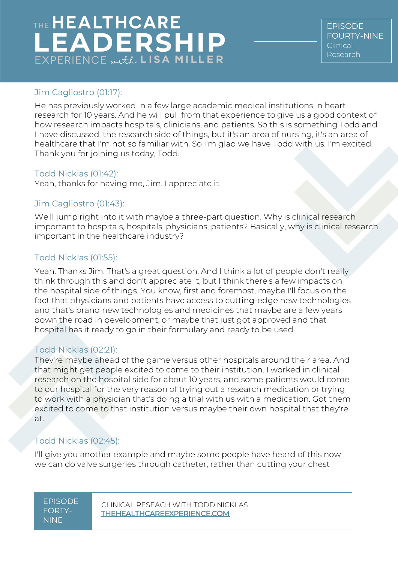## Jim Cagliostro (01:17):

He has previously worked in a few large academic medical institutions in heart research for 10 years. And he will pull from that experience to give us a good context of how research impacts hospitals, clinicians, and patients. So this is something Todd and I have discussed, the research side of things, but it's an area of nursing, it's an area of healthcare that I'm not so familiar with. So I'm glad we have Todd with us. I'm excited. Thank you for joining us today, Todd.

### Todd Nicklas (01:42):

Yeah, thanks for having me, Jim. I appreciate it.

## Jim Cagliostro (01:43):

We'll jump right into it with maybe a three-part question. Why is clinical research important to hospitals, hospitals, physicians, patients? Basically, why is clinical research important in the healthcare industry?

## Todd Nicklas (01:55):

Yeah. Thanks Jim. That's a great question. And I think a lot of people don't really think through this and don't appreciate it, but I think there's a few impacts on the hospital side of things. You know, first and foremost, maybe I'll focus on the fact that physicians and patients have access to cutting-edge new technologies and that's brand new technologies and medicines that maybe are a few years down the road in development, or maybe that just got approved and that hospital has it ready to go in their formulary and ready to be used.

## Todd Nicklas (02:21):

They're maybe ahead of the game versus other hospitals around their area. And that might get people excited to come to their institution. I worked in clinical research on the hospital side for about 10 years, and some patients would come to our hospital for the very reason of trying out a research medication or trying to work with a physician that's doing a trial with us with a medication. Got them excited to come to that institution versus maybe their own hospital that they're at.

## Todd Nicklas (02:45):

I'll give you another example and maybe some people have heard of this now we can do valve surgeries through catheter, rather than cutting your chest

EPISODE FORTY-NINE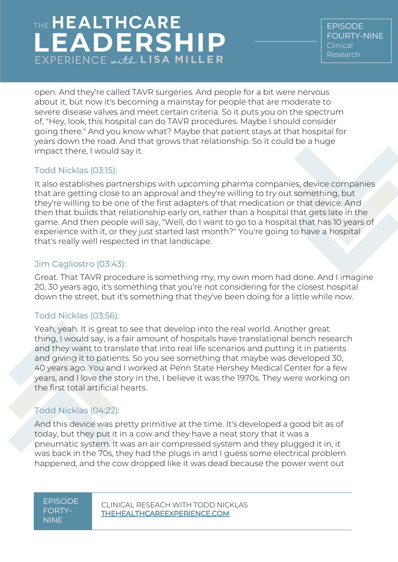EPISODE FOURTY-NINE Clinical Research

open. And they're called TAVR surgeries. And people for a bit were nervous about it, but now it's becoming a mainstay for people that are moderate to severe disease valves and meet certain criteria. So it puts you on the spectrum of, "Hey, look, this hospital can do TAVR procedures. Maybe I should consider going there." And you know what? Maybe that patient stays at that hospital for years down the road. And that grows that relationship. So it could be a huge impact there, I would say it.

## Todd Nicklas (03:15):

It also establishes partnerships with upcoming pharma companies, device companies that are getting close to an approval and they're willing to try out something, but they're willing to be one of the first adapters of that medication or that device. And then that builds that relationship early on, rather than a hospital that gets late in the game. And then people will say, "Well, do I want to go to a hospital that has 10 years of experience with it, or they just started last month?" You're going to have a hospital that's really well respected in that landscape.

## Jim Cagliostro (03:43):

Great. That TAVR procedure is something my, my own mom had done. And I imagine 20, 30 years ago, it's something that you're not considering for the closest hospital down the street, but it's something that they've been doing for a little while now.

## Todd Nicklas (03:56):

Yeah, yeah. It is great to see that develop into the real world. Another great thing, I would say, is a fair amount of hospitals have translational bench research and they want to translate that into real life scenarios and putting it in patients and giving it to patients. So you see something that maybe was developed 30, 40 years ago. You and I worked at Penn State Hershey Medical Center for a few years, and I love the story in the, I believe it was the 1970s. They were working on the first total artificial hearts.

## Todd Nicklas (04:22):

And this device was pretty primitive at the time. It's developed a good bit as of today, but they put it in a cow and they have a neat story that it was a pneumatic system. It was an air compressed system and they plugged it in, it was back in the 70s, they had the plugs in and I guess some electrical problem happened, and the cow dropped like it was dead because the power went out

#### EPISODE FORTY-NINE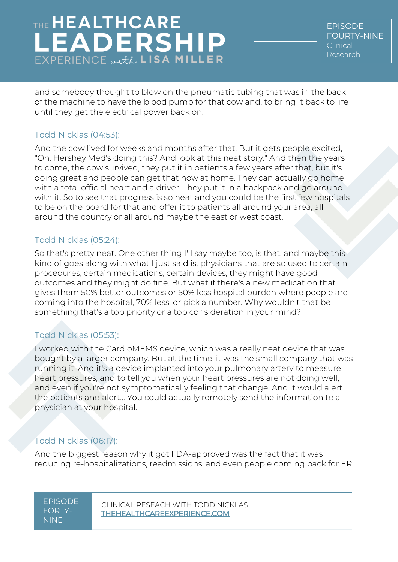EPISODE FOURTY-NINE Clinical Research

and somebody thought to blow on the pneumatic tubing that was in the back of the machine to have the blood pump for that cow and, to bring it back to life until they get the electrical power back on.

### Todd Nicklas (04:53):

And the cow lived for weeks and months after that. But it gets people excited, "Oh, Hershey Med's doing this? And look at this neat story." And then the years to come, the cow survived, they put it in patients a few years after that, but it's doing great and people can get that now at home. They can actually go home with a total official heart and a driver. They put it in a backpack and go around with it. So to see that progress is so neat and you could be the first few hospitals to be on the board for that and offer it to patients all around your area, all around the country or all around maybe the east or west coast.

### Todd Nicklas (05:24):

So that's pretty neat. One other thing I'll say maybe too, is that, and maybe this kind of goes along with what I just said is, physicians that are so used to certain procedures, certain medications, certain devices, they might have good outcomes and they might do fine. But what if there's a new medication that gives them 50% better outcomes or 50% less hospital burden where people are coming into the hospital, 70% less, or pick a number. Why wouldn't that be something that's a top priority or a top consideration in your mind?

## Todd Nicklas (05:53):

I worked with the CardioMEMS device, which was a really neat device that was bought by a larger company. But at the time, it was the small company that was running it. And it's a device implanted into your pulmonary artery to measure heart pressures, and to tell you when your heart pressures are not doing well, and even if you're not symptomatically feeling that change. And it would alert the patients and alert... You could actually remotely send the information to a physician at your hospital.

## Todd Nicklas (06:17):

And the biggest reason why it got FDA-approved was the fact that it was reducing re-hospitalizations, readmissions, and even people coming back for ER

EPISODE FORTY-NINE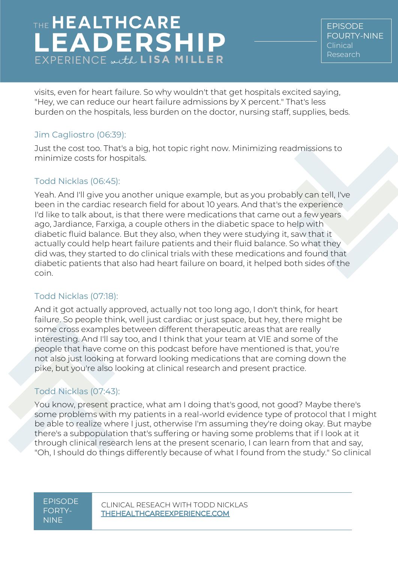EPISODE FOURTY-NINE Clinical Research

visits, even for heart failure. So why wouldn't that get hospitals excited saying, "Hey, we can reduce our heart failure admissions by X percent." That's less burden on the hospitals, less burden on the doctor, nursing staff, supplies, beds.

### Jim Cagliostro (06:39):

Just the cost too. That's a big, hot topic right now. Minimizing readmissions to minimize costs for hospitals.

## Todd Nicklas (06:45):

Yeah. And I'll give you another unique example, but as you probably can tell, I've been in the cardiac research field for about 10 years. And that's the experience I'd like to talk about, is that there were medications that came out a few years ago, Jardiance, Farxiga, a couple others in the diabetic space to help with diabetic fluid balance. But they also, when they were studying it, saw that it actually could help heart failure patients and their fluid balance. So what they did was, they started to do clinical trials with these medications and found that diabetic patients that also had heart failure on board, it helped both sides of the coin.

## Todd Nicklas (07:18):

And it got actually approved, actually not too long ago, I don't think, for heart failure. So people think, well just cardiac or just space, but hey, there might be some cross examples between different therapeutic areas that are really interesting. And I'll say too, and I think that your team at VIE and some of the people that have come on this podcast before have mentioned is that, you're not also just looking at forward looking medications that are coming down the pike, but you're also looking at clinical research and present practice.

## Todd Nicklas (07:43):

You know, present practice, what am I doing that's good, not good? Maybe there's some problems with my patients in a real-world evidence type of protocol that I might be able to realize where I just, otherwise I'm assuming they're doing okay. But maybe there's a subpopulation that's suffering or having some problems that if I look at it through clinical research lens at the present scenario, I can learn from that and say, "Oh, I should do things differently because of what I found from the study." So clinical

#### EPISODE FORTY-NINE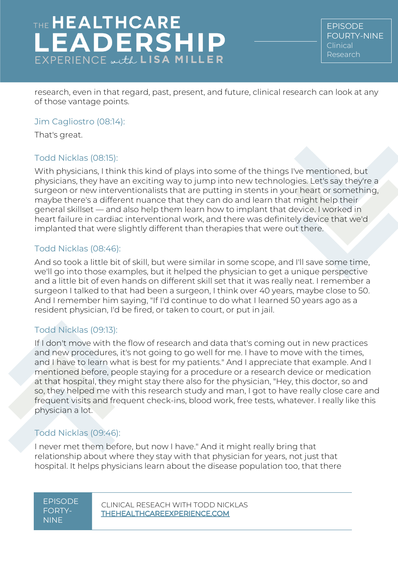EPISODE FOURTY-NINE Clinical Research

research, even in that regard, past, present, and future, clinical research can look at any of those vantage points.

Jim Cagliostro (08:14):

That's great.

## Todd Nicklas (08:15):

With physicians, I think this kind of plays into some of the things I've mentioned, but physicians, they have an exciting way to jump into new technologies. Let's say they're a surgeon or new interventionalists that are putting in stents in your heart or something, maybe there's a different nuance that they can do and learn that might help their general skillset — and also help them learn how to implant that device. I worked in heart failure in cardiac interventional work, and there was definitely device that we'd implanted that were slightly different than therapies that were out there.

### Todd Nicklas (08:46):

And so took a little bit of skill, but were similar in some scope, and I'll save some time, we'll go into those examples, but it helped the physician to get a unique perspective and a little bit of even hands on different skill set that it was really neat. I remember a surgeon I talked to that had been a surgeon, I think over 40 years, maybe close to 50. And I remember him saying, "If I'd continue to do what I learned 50 years ago as a resident physician, I'd be fired, or taken to court, or put in jail.

## Todd Nicklas (09:13):

If I don't move with the flow of research and data that's coming out in new practices and new procedures, it's not going to go well for me. I have to move with the times, and I have to learn what is best for my patients." And I appreciate that example. And I mentioned before, people staying for a procedure or a research device or medication at that hospital, they might stay there also for the physician, "Hey, this doctor, so and so, they helped me with this research study and man, I got to have really close care and frequent visits and frequent check-ins, blood work, free tests, whatever. I really like this physician a lot.

## Todd Nicklas (09:46):

I never met them before, but now I have." And it might really bring that relationship about where they stay with that physician for years, not just that hospital. It helps physicians learn about the disease population too, that there

EPISODE FORTY-NINE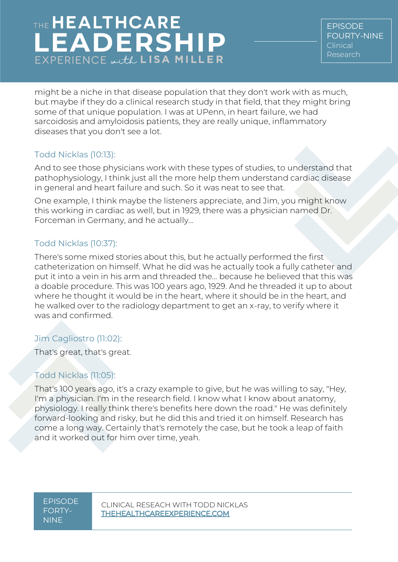EPISODE FOURTY-NINE Clinical Research

might be a niche in that disease population that they don't work with as much, but maybe if they do a clinical research study in that field, that they might bring some of that unique population. I was at UPenn, in heart failure, we had sarcoidosis and amyloidosis patients, they are really unique, inflammatory diseases that you don't see a lot.

## Todd Nicklas (10:13):

And to see those physicians work with these types of studies, to understand that pathophysiology, I think just all the more help them understand cardiac disease in general and heart failure and such. So it was neat to see that.

One example, I think maybe the listeners appreciate, and Jim, you might know this working in cardiac as well, but in 1929, there was a physician named Dr. Forceman in Germany, and he actually...

## Todd Nicklas (10:37):

There's some mixed stories about this, but he actually performed the first catheterization on himself. What he did was he actually took a fully catheter and put it into a vein in his arm and threaded the... because he believed that this was a doable procedure. This was 100 years ago, 1929. And he threaded it up to about where he thought it would be in the heart, where it should be in the heart, and he walked over to the radiology department to get an x-ray, to verify where it was and confirmed.

## Jim Cagliostro (11:02):

That's great, that's great.

## Todd Nicklas (11:05):

That's 100 years ago, it's a crazy example to give, but he was willing to say, "Hey, I'm a physician. I'm in the research field. I know what I know about anatomy, physiology. I really think there's benefits here down the road." He was definitely forward-looking and risky, but he did this and tried it on himself. Research has come a long way. Certainly that's remotely the case, but he took a leap of faith and it worked out for him over time, yeah.

EPISODE FORTY-NINE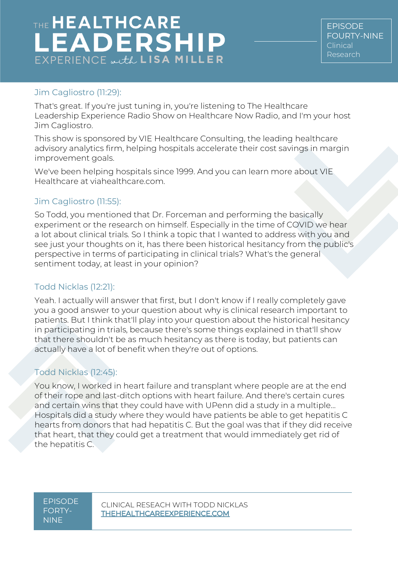EPISODE FOURTY-NINE Clinical Research

## Jim Cagliostro (11:29):

That's great. If you're just tuning in, you're listening to The Healthcare Leadership Experience Radio Show on Healthcare Now Radio, and I'm your host Jim Cagliostro.

This show is sponsored by VIE Healthcare Consulting, the leading healthcare advisory analytics firm, helping hospitals accelerate their cost savings in margin improvement goals.

We've been helping hospitals since 1999. And you can learn more about VIE Healthcare at viahealthcare.com.

## Jim Cagliostro (11:55):

So Todd, you mentioned that Dr. Forceman and performing the basically experiment or the research on himself. Especially in the time of COVID we hear a lot about clinical trials. So I think a topic that I wanted to address with you and see just your thoughts on it, has there been historical hesitancy from the public's perspective in terms of participating in clinical trials? What's the general sentiment today, at least in your opinion?

## Todd Nicklas (12:21):

Yeah. I actually will answer that first, but I don't know if I really completely gave you a good answer to your question about why is clinical research important to patients. But I think that'll play into your question about the historical hesitancy in participating in trials, because there's some things explained in that'll show that there shouldn't be as much hesitancy as there is today, but patients can actually have a lot of benefit when they're out of options.

## Todd Nicklas (12:45):

You know, I worked in heart failure and transplant where people are at the end of their rope and last-ditch options with heart failure. And there's certain cures and certain wins that they could have with UPenn did a study in a multiple... Hospitals did a study where they would have patients be able to get hepatitis C hearts from donors that had hepatitis C. But the goal was that if they did receive that heart, that they could get a treatment that would immediately get rid of the hepatitis C.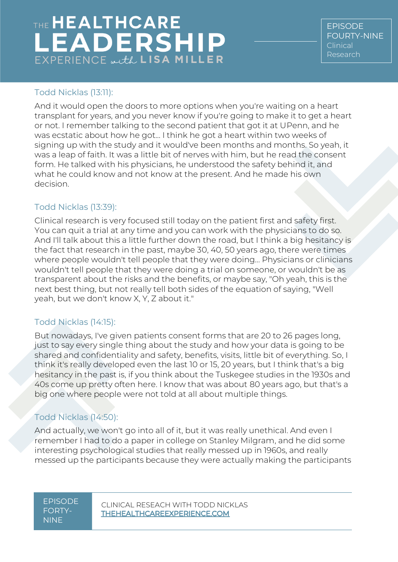## Todd Nicklas (13:11):

And it would open the doors to more options when you're waiting on a heart transplant for years, and you never know if you're going to make it to get a heart or not. I remember talking to the second patient that got it at UPenn, and he was ecstatic about how he got... I think he got a heart within two weeks of signing up with the study and it would've been months and months. So yeah, it was a leap of faith. It was a little bit of nerves with him, but he read the consent form. He talked with his physicians, he understood the safety behind it, and what he could know and not know at the present. And he made his own decision.

## Todd Nicklas (13:39):

Clinical research is very focused still today on the patient first and safety first. You can quit a trial at any time and you can work with the physicians to do so. And I'll talk about this a little further down the road, but I think a big hesitancy is the fact that research in the past, maybe 30, 40, 50 years ago, there were times where people wouldn't tell people that they were doing... Physicians or clinicians wouldn't tell people that they were doing a trial on someone, or wouldn't be as transparent about the risks and the benefits, or maybe say, "Oh yeah, this is the next best thing, but not really tell both sides of the equation of saying, "Well yeah, but we don't know X, Y, Z about it."

## Todd Nicklas (14:15):

But nowadays, I've given patients consent forms that are 20 to 26 pages long, just to say every single thing about the study and how your data is going to be shared and confidentiality and safety, benefits, visits, little bit of everything. So, I think it's really developed even the last 10 or 15, 20 years, but I think that's a big hesitancy in the past is, if you think about the Tuskegee studies in the 1930s and 40s come up pretty often here. I know that was about 80 years ago, but that's a big one where people were not told at all about multiple things.

## Todd Nicklas (14:50):

And actually, we won't go into all of it, but it was really unethical. And even I remember I had to do a paper in college on Stanley Milgram, and he did some interesting psychological studies that really messed up in 1960s, and really messed up the participants because they were actually making the participants

EPISODE FORTY-NINE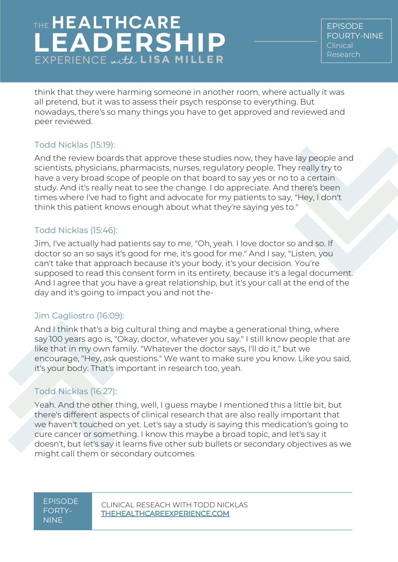EPISODE FOURTY-NINE Clinical Research

think that they were harming someone in another room, where actually it was all pretend, but it was to assess their psych response to everything. But nowadays, there's so many things you have to get approved and reviewed and peer reviewed.

## Todd Nicklas (15:19):

And the review boards that approve these studies now, they have lay people and scientists, physicians, pharmacists, nurses, regulatory people. They really try to have a very broad scope of people on that board to say yes or no to a certain study. And it's really neat to see the change. I do appreciate. And there's been times where I've had to fight and advocate for my patients to say, "Hey, I don't think this patient knows enough about what they're saying yes to."

## Todd Nicklas (15:46):

Jim, I've actually had patients say to me, "Oh, yeah. I love doctor so and so. If doctor so an so says it's good for me, it's good for me." And I say, "Listen, you can't take that approach because it's your body, it's your decision. You're supposed to read this consent form in its entirety, because it's a legal document. And I agree that you have a great relationship, but it's your call at the end of the day and it's going to impact you and not the-

## Jim Cagliostro (16:09):

And I think that's a big cultural thing and maybe a generational thing, where say 100 years ago is, "Okay, doctor, whatever you say." I still know people that are like that in my own family. "Whatever the doctor says, I'll do it," but we encourage, "Hey, ask questions." We want to make sure you know. Like you said, it's your body. That's important in research too, yeah.

#### Todd Nicklas (16:27):

Yeah. And the other thing, well, I guess maybe I mentioned this a little bit, but there's different aspects of clinical research that are also really important that we haven't touched on yet. Let's say a study is saying this medication's going to cure cancer or something. I know this maybe a broad topic, and let's say it doesn't, but let's say it learns five other sub bullets or secondary objectives as we might call them or secondary outcomes.

#### EPISODE FORTY-NINE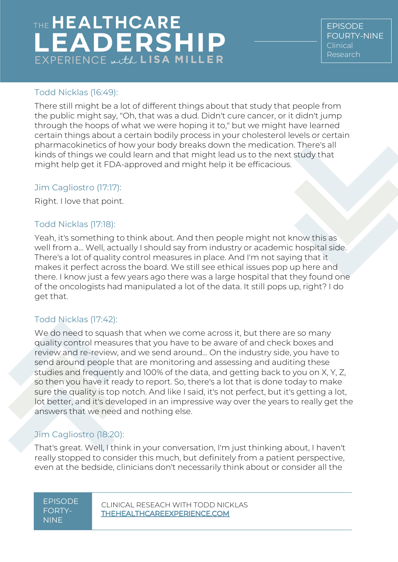## Todd Nicklas (16:49):

There still might be a lot of different things about that study that people from the public might say, "Oh, that was a dud. Didn't cure cancer, or it didn't jump through the hoops of what we were hoping it to," but we might have learned certain things about a certain bodily process in your cholesterol levels or certain pharmacokinetics of how your body breaks down the medication. There's all kinds of things we could learn and that might lead us to the next study that might help get it FDA-approved and might help it be efficacious.

## Jim Cagliostro (17:17):

Right. I love that point.

## Todd Nicklas (17:18):

Yeah, it's something to think about. And then people might not know this as well from a... Well, actually I should say from industry or academic hospital side. There's a lot of quality control measures in place. And I'm not saying that it makes it perfect across the board. We still see ethical issues pop up here and there. I know just a few years ago there was a large hospital that they found one of the oncologists had manipulated a lot of the data. It still pops up, right? I do get that.

## Todd Nicklas (17:42):

We do need to squash that when we come across it, but there are so many quality control measures that you have to be aware of and check boxes and review and re-review, and we send around... On the industry side, you have to send around people that are monitoring and assessing and auditing these studies and frequently and 100% of the data, and getting back to you on X, Y, Z, so then you have it ready to report. So, there's a lot that is done today to make sure the quality is top notch. And like I said, it's not perfect, but it's getting a lot, lot better, and it's developed in an impressive way over the years to really get the answers that we need and nothing else.

## Jim Cagliostro (18:20):

That's great. Well, I think in your conversation, I'm just thinking about, I haven't really stopped to consider this much, but definitely from a patient perspective, even at the bedside, clinicians don't necessarily think about or consider all the

#### EPISODE FORTY-NINE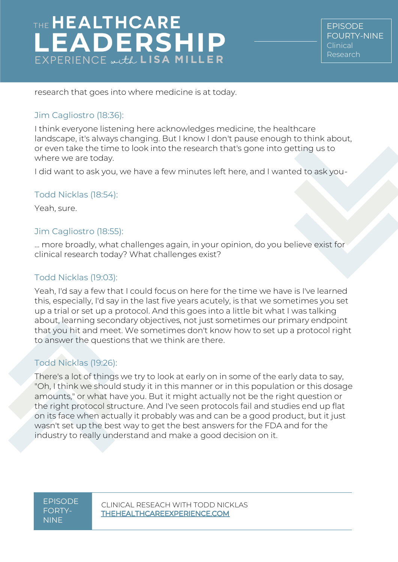research that goes into where medicine is at today.

## Jim Cagliostro (18:36):

I think everyone listening here acknowledges medicine, the healthcare landscape, it's always changing. But I know I don't pause enough to think about, or even take the time to look into the research that's gone into getting us to where we are today.

I did want to ask you, we have a few minutes left here, and I wanted to ask you-

## Todd Nicklas (18:54):

Yeah, sure.

## Jim Cagliostro (18:55):

... more broadly, what challenges again, in your opinion, do you believe exist for clinical research today? What challenges exist?

## Todd Nicklas (19:03):

Yeah, I'd say a few that I could focus on here for the time we have is I've learned this, especially, I'd say in the last five years acutely, is that we sometimes you set up a trial or set up a protocol. And this goes into a little bit what I was talking about, learning secondary objectives, not just sometimes our primary endpoint that you hit and meet. We sometimes don't know how to set up a protocol right to answer the questions that we think are there.

## Todd Nicklas (19:26):

There's a lot of things we try to look at early on in some of the early data to say, "Oh, I think we should study it in this manner or in this population or this dosage amounts," or what have you. But it might actually not be the right question or the right protocol structure. And I've seen protocols fail and studies end up flat on its face when actually it probably was and can be a good product, but it just wasn't set up the best way to get the best answers for the FDA and for the industry to really understand and make a good decision on it.

EPISODE FORTY-NINE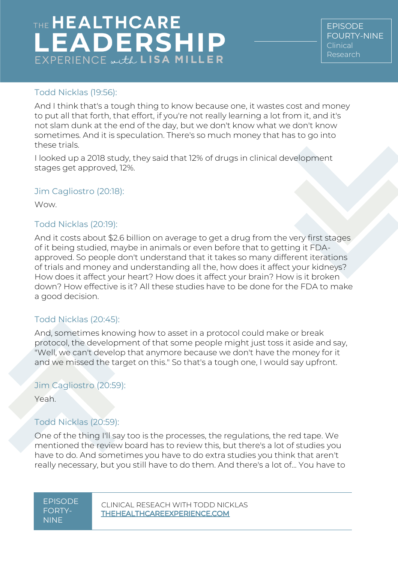## Todd Nicklas (19:56):

And I think that's a tough thing to know because one, it wastes cost and money to put all that forth, that effort, if you're not really learning a lot from it, and it's not slam dunk at the end of the day, but we don't know what we don't know sometimes. And it is speculation. There's so much money that has to go into these trials.

I looked up a 2018 study, they said that 12% of drugs in clinical development stages get approved, 12%.

## Jim Cagliostro (20:18):

Wow.

## Todd Nicklas (20:19):

And it costs about \$2.6 billion on average to get a drug from the very first stages of it being studied, maybe in animals or even before that to getting it FDAapproved. So people don't understand that it takes so many different iterations of trials and money and understanding all the, how does it affect your kidneys? How does it affect your heart? How does it affect your brain? How is it broken down? How effective is it? All these studies have to be done for the FDA to make a good decision.

## Todd Nicklas (20:45):

And, sometimes knowing how to asset in a protocol could make or break protocol, the development of that some people might just toss it aside and say, "Well, we can't develop that anymore because we don't have the money for it and we missed the target on this." So that's a tough one, I would say upfront.

## Jim Cagliostro (20:59):

Yeah.

## Todd Nicklas (20:59):

One of the thing I'll say too is the processes, the regulations, the red tape. We mentioned the review board has to review this, but there's a lot of studies you have to do. And sometimes you have to do extra studies you think that aren't really necessary, but you still have to do them. And there's a lot of... You have to

EPISODE FORTY-NINE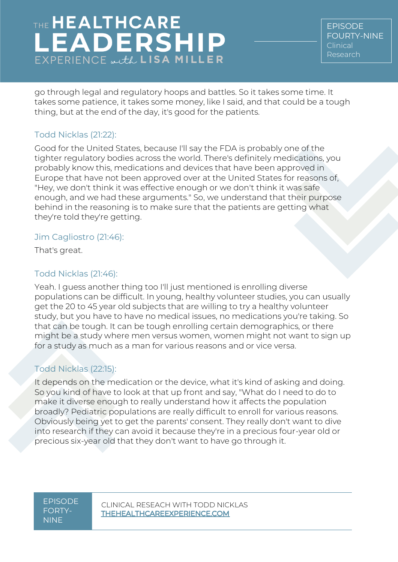EPISODE FOURTY-NINE Clinical Research

go through legal and regulatory hoops and battles. So it takes some time. It takes some patience, it takes some money, like I said, and that could be a tough thing, but at the end of the day, it's good for the patients.

### Todd Nicklas (21:22):

Good for the United States, because I'll say the FDA is probably one of the tighter regulatory bodies across the world. There's definitely medications, you probably know this, medications and devices that have been approved in Europe that have not been approved over at the United States for reasons of, "Hey, we don't think it was effective enough or we don't think it was safe enough, and we had these arguments." So, we understand that their purpose behind in the reasoning is to make sure that the patients are getting what they're told they're getting.

### Jim Cagliostro (21:46):

That's great.

## Todd Nicklas (21:46):

Yeah. I guess another thing too I'll just mentioned is enrolling diverse populations can be difficult. In young, healthy volunteer studies, you can usually get the 20 to 45 year old subjects that are willing to try a healthy volunteer study, but you have to have no medical issues, no medications you're taking. So that can be tough. It can be tough enrolling certain demographics, or there might be a study where men versus women, women might not want to sign up for a study as much as a man for various reasons and or vice versa.

## Todd Nicklas (22:15):

It depends on the medication or the device, what it's kind of asking and doing. So you kind of have to look at that up front and say, "What do I need to do to make it diverse enough to really understand how it affects the population broadly? Pediatric populations are really difficult to enroll for various reasons. Obviously being yet to get the parents' consent. They really don't want to dive into research if they can avoid it because they're in a precious four-year old or precious six-year old that they don't want to have go through it.

#### EPISODE FORTY-NINE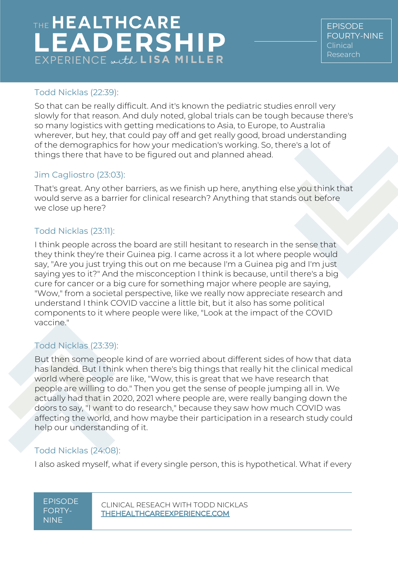## Todd Nicklas (22:39):

So that can be really difficult. And it's known the pediatric studies enroll very slowly for that reason. And duly noted, global trials can be tough because there's so many logistics with getting medications to Asia, to Europe, to Australia wherever, but hey, that could pay off and get really good, broad understanding of the demographics for how your medication's working. So, there's a lot of things there that have to be figured out and planned ahead.

## Jim Cagliostro (23:03):

That's great. Any other barriers, as we finish up here, anything else you think that would serve as a barrier for clinical research? Anything that stands out before we close up here?

## Todd Nicklas (23:11):

I think people across the board are still hesitant to research in the sense that they think they're their Guinea pig. I came across it a lot where people would say, "Are you just trying this out on me because I'm a Guinea pig and I'm just saying yes to it?" And the misconception I think is because, until there's a big cure for cancer or a big cure for something major where people are saying, "Wow," from a societal perspective, like we really now appreciate research and understand I think COVID vaccine a little bit, but it also has some political components to it where people were like, "Look at the impact of the COVID vaccine."

## Todd Nicklas (23:39):

But then some people kind of are worried about different sides of how that data has landed. But I think when there's big things that really hit the clinical medical world where people are like, "Wow, this is great that we have research that people are willing to do." Then you get the sense of people jumping all in. We actually had that in 2020, 2021 where people are, were really banging down the doors to say, "I want to do research," because they saw how much COVID was affecting the world, and how maybe their participation in a research study could help our understanding of it.

## Todd Nicklas (24:08):

I also asked myself, what if every single person, this is hypothetical. What if every

EPISODE FORTY-NINE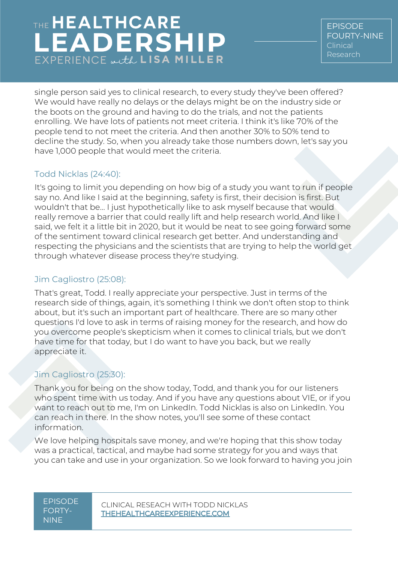EPISODE FOURTY-NINE Clinical Research

single person said yes to clinical research, to every study they've been offered? We would have really no delays or the delays might be on the industry side or the boots on the ground and having to do the trials, and not the patients enrolling. We have lots of patients not meet criteria. I think it's like 70% of the people tend to not meet the criteria. And then another 30% to 50% tend to decline the study. So, when you already take those numbers down, let's say you have 1,000 people that would meet the criteria.

## Todd Nicklas (24:40):

It's going to limit you depending on how big of a study you want to run if people say no. And like I said at the beginning, safety is first, their decision is first. But wouldn't that be... I just hypothetically like to ask myself because that would really remove a barrier that could really lift and help research world. And like I said, we felt it a little bit in 2020, but it would be neat to see going forward some of the sentiment toward clinical research get better. And understanding and respecting the physicians and the scientists that are trying to help the world get through whatever disease process they're studying.

## Jim Cagliostro (25:08):

That's great, Todd. I really appreciate your perspective. Just in terms of the research side of things, again, it's something I think we don't often stop to think about, but it's such an important part of healthcare. There are so many other questions I'd love to ask in terms of raising money for the research, and how do you overcome people's skepticism when it comes to clinical trials, but we don't have time for that today, but I do want to have you back, but we really appreciate it.

## Jim Cagliostro (25:30):

Thank you for being on the show today, Todd, and thank you for our listeners who spent time with us today. And if you have any questions about VIE, or if you want to reach out to me, I'm on LinkedIn. Todd Nicklas is also on LinkedIn. You can reach in there. In the show notes, you'll see some of these contact information.

We love helping hospitals save money, and we're hoping that this show today was a practical, tactical, and maybe had some strategy for you and ways that you can take and use in your organization. So we look forward to having you join

EPISODE FORTY-NINE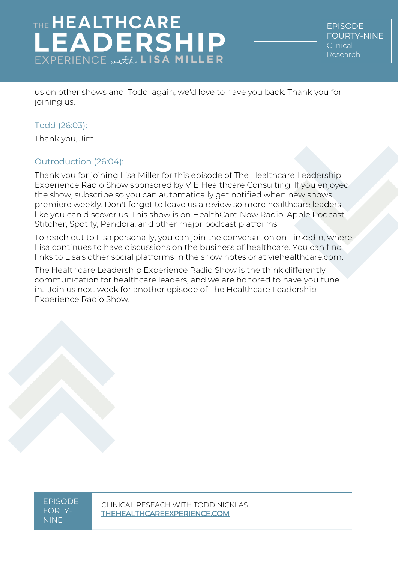EPISODE FOURTY-NINE Clinical Research

us on other shows and, Todd, again, we'd love to have you back. Thank you for joining us.

### Todd (26:03):

Thank you, Jim.

## Outroduction (26:04):

Thank you for joining Lisa Miller for this episode of The Healthcare Leadership Experience Radio Show sponsored by VIE Healthcare Consulting. If you enjoyed the show, subscribe so you can automatically get notified when new shows premiere weekly. Don't forget to leave us a review so more healthcare leaders like you can discover us. This show is on HealthCare Now Radio, Apple Podcast, Stitcher, Spotify, Pandora, and other major podcast platforms.

To reach out to Lisa personally, you can join the conversation on LinkedIn, where Lisa continues to have discussions on the business of healthcare. You can find links to Lisa's other social platforms in the show notes or at viehealthcare.com.

The Healthcare Leadership Experience Radio Show is the think differently communication for healthcare leaders, and we are honored to have you tune in. Join us next week for another episode of The Healthcare Leadership Experience Radio Show.

EPISODE FORTY-NINE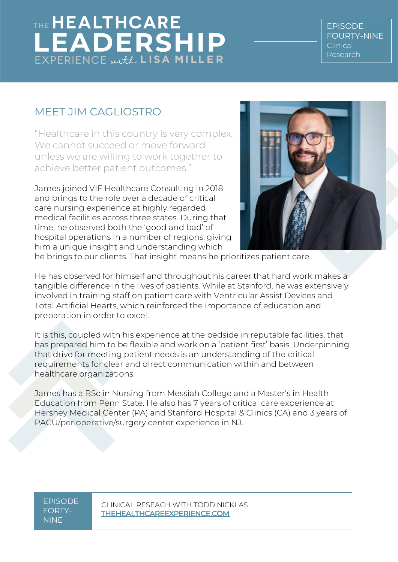EPISODE FOURTY-NINE Clinical Research

## MEET JIM CAGLIOSTRO

"Healthcare in this country is very complex. We cannot succeed or move forward unless we are willing to work together to achieve better patient outcomes."

James joined VIE Healthcare Consulting in 2018 and brings to the role over a decade of critical care nursing experience at highly regarded medical facilities across three states. During that time, he observed both the 'good and bad' of hospital operations in a number of regions, giving him a unique insight and understanding which



he brings to our clients. That insight means he prioritizes patient care.

He has observed for himself and throughout his career that hard work makes a tangible difference in the lives of patients. While at Stanford, he was extensively involved in training staff on patient care with Ventricular Assist Devices and Total Artificial Hearts, which reinforced the importance of education and preparation in order to excel.

It is this, coupled with his experience at the bedside in reputable facilities, that has prepared him to be flexible and work on a 'patient first' basis. Underpinning that drive for meeting patient needs is an understanding of the critical requirements for clear and direct communication within and between healthcare organizations.

James has a BSc in Nursing from Messiah College and a Master's in Health Education from Penn State. He also has 7 years of critical care experience at Hershey Medical Center (PA) and Stanford Hospital & Clinics (CA) and 3 years of PACU/perioperative/surgery center experience in NJ.

EPISODE FORTY-NINE